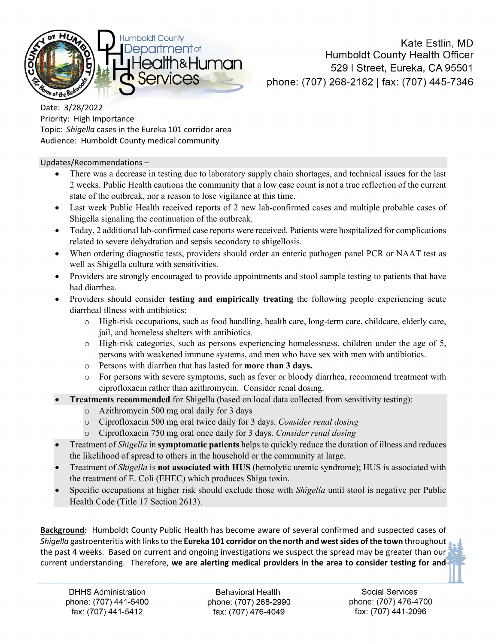

Kate Estlin, MD **Humboldt County Health Officer** 529 | Street, Eureka, CA 95501 phone: (707) 268-2182 | fax: (707) 445-7346

Date: 3/28/2022 Priority: High Importance Topic: *Shigella* cases in the Eureka 101 corridor area Audience: Humboldt County medical community

Updates/Recommendations –

- There was a decrease in testing due to laboratory supply chain shortages, and technical issues for the last 2 weeks. Public Health cautions the community that a low case count is not a true reflection of the current state of the outbreak, nor a reason to lose vigilance at this time.
- Last week Public Health received reports of 2 new lab-confirmed cases and multiple probable cases of Shigella signaling the continuation of the outbreak.
- Today, 2 additional lab-confirmed case reports were received. Patients were hospitalized for complications related to severe dehydration and sepsis secondary to shigellosis.
- When ordering diagnostic tests, providers should order an enteric pathogen panel PCR or NAAT test as well as Shigella culture with sensitivities.
- Providers are strongly encouraged to provide appointments and stool sample testing to patients that have had diarrhea.
- Providers should consider **testing and empirically treating** the following people experiencing acute diarrheal illness with antibiotics:
	- o High-risk occupations, such as food handling, health care, long-term care, childcare, elderly care, jail, and homeless shelters with antibiotics.
	- o High-risk categories, such as persons experiencing homelessness, children under the age of 5, persons with weakened immune systems, and men who have sex with men with antibiotics.
	- o Persons with diarrhea that has lasted for **more than 3 days.**
	- o For persons with severe symptoms, such as fever or bloody diarrhea, recommend treatment with ciprofloxacin rather than azithromycin. Consider renal dosing.
	- **Treatments recommended** for Shigella (based on local data collected from sensitivity testing):
		- o Azithromycin 500 mg oral daily for 3 days
		- o Ciprofloxacin 500 mg oral twice daily for 3 days. *Consider renal dosing*
		- o Ciprofloxacin 750 mg oral once daily for 3 days. *Consider renal dosing*
- Treatment of *Shigella* in **symptomatic patients** helps to quickly reduce the duration of illness and reduces the likelihood of spread to others in the household or the community at large.
- Treatment of *Shigella* is **not associated with HUS** (hemolytic uremic syndrome); HUS is associated with the treatment of E. Coli (EHEC) which produces Shiga toxin.
- Specific occupations at higher risk should exclude those with *Shigella* until stool is negative per Public Health Code (Title 17 Section 2613).

**Background**: Humboldt County Public Health has become aware of several confirmed and suspected cases of *Shigella* gastroenteritis with links to the **Eureka 101 corridor on the north and west sides of the town** throughout the past 4 weeks. Based on current and ongoing investigations we suspect the spread may be greater than our current understanding. Therefore, **we are alerting medical providers in the area to consider testing for and** 

**DHHS Administration** phone: (707) 441-5400 fax: (707) 441-5412

**Behavioral Health** phone: (707) 268-2990 fax: (707) 476-4049

**Social Services** phone: (707) 476-4700 fax: (707) 441-2096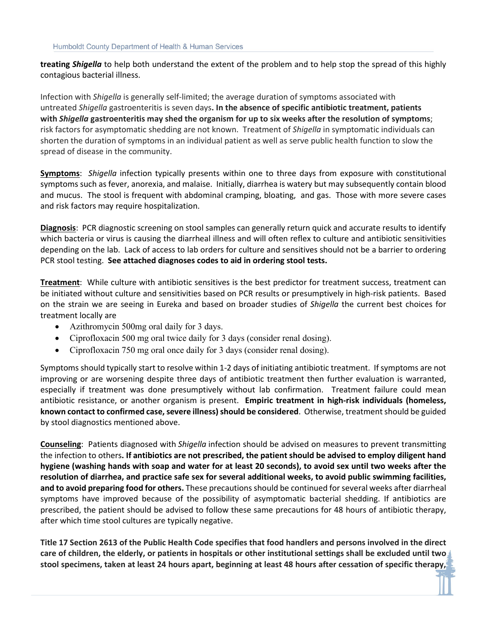**treating** *Shigella* to help both understand the extent of the problem and to help stop the spread of this highly contagious bacterial illness.

Infection with *Shigella* is generally self-limited; the average duration of symptoms associated with untreated *Shigella* gastroenteritis is seven days**. In the absence of specific antibiotic treatment, patients with** *Shigella* **gastroenteritis may shed the organism for up to six weeks after the resolution of symptoms**; risk factors for asymptomatic shedding are not known. Treatment of *Shigella* in symptomatic individuals can shorten the duration of symptoms in an individual patient as well as serve public health function to slow the spread of disease in the community.

**Symptoms**: *Shigella* infection typically presents within one to three days from exposure with constitutional symptoms such as fever, anorexia, and malaise. Initially, diarrhea is watery but may subsequently contain blood and mucus. The stool is frequent with abdominal cramping, bloating, and gas. Those with more severe cases and risk factors may require hospitalization.

**Diagnosis**: PCR diagnostic screening on stool samples can generally return quick and accurate results to identify which bacteria or virus is causing the diarrheal illness and will often reflex to culture and antibiotic sensitivities depending on the lab. Lack of access to lab orders for culture and sensitives should not be a barrier to ordering PCR stool testing. **See attached diagnoses codes to aid in ordering stool tests.**

**Treatment**: While culture with antibiotic sensitives is the best predictor for treatment success, treatment can be initiated without culture and sensitivities based on PCR results or presumptively in high-risk patients. Based on the strain we are seeing in Eureka and based on broader studies of *Shigella* the current best choices for treatment locally are

- Azithromycin 500mg oral daily for 3 days.
- Ciprofloxacin 500 mg oral twice daily for 3 days (consider renal dosing).
- Ciprofloxacin 750 mg oral once daily for 3 days (consider renal dosing).

Symptoms should typically start to resolve within 1-2 days of initiating antibiotic treatment. If symptoms are not improving or are worsening despite three days of antibiotic treatment then further evaluation is warranted, especially if treatment was done presumptively without lab confirmation. Treatment failure could mean antibiotic resistance, or another organism is present. **Empiric treatment in high-risk individuals (homeless, known contact to confirmed case, severe illness) should be considered**. Otherwise, treatment should be guided by stool diagnostics mentioned above.

**Counseling**: Patients diagnosed with *Shigella* infection should be advised on measures to prevent transmitting the infection to others**. If antibiotics are not prescribed, the patient should be advised to employ diligent hand hygiene (washing hands with soap and water for at least 20 seconds), to avoid sex until two weeks after the resolution of diarrhea, and practice safe sex for several additional weeks, to avoid public swimming facilities, and to avoid preparing food for others.** These precautions should be continued for several weeks after diarrheal symptoms have improved because of the possibility of asymptomatic bacterial shedding. If antibiotics are prescribed, the patient should be advised to follow these same precautions for 48 hours of antibiotic therapy, after which time stool cultures are typically negative.

**Title 17 Section 2613 of the Public Health Code specifies that food handlers and persons involved in the direct care of children, the elderly, or patients in hospitals or other institutional settings shall be excluded until two stool specimens, taken at least 24 hours apart, beginning at least 48 hours after cessation of specific therapy,**